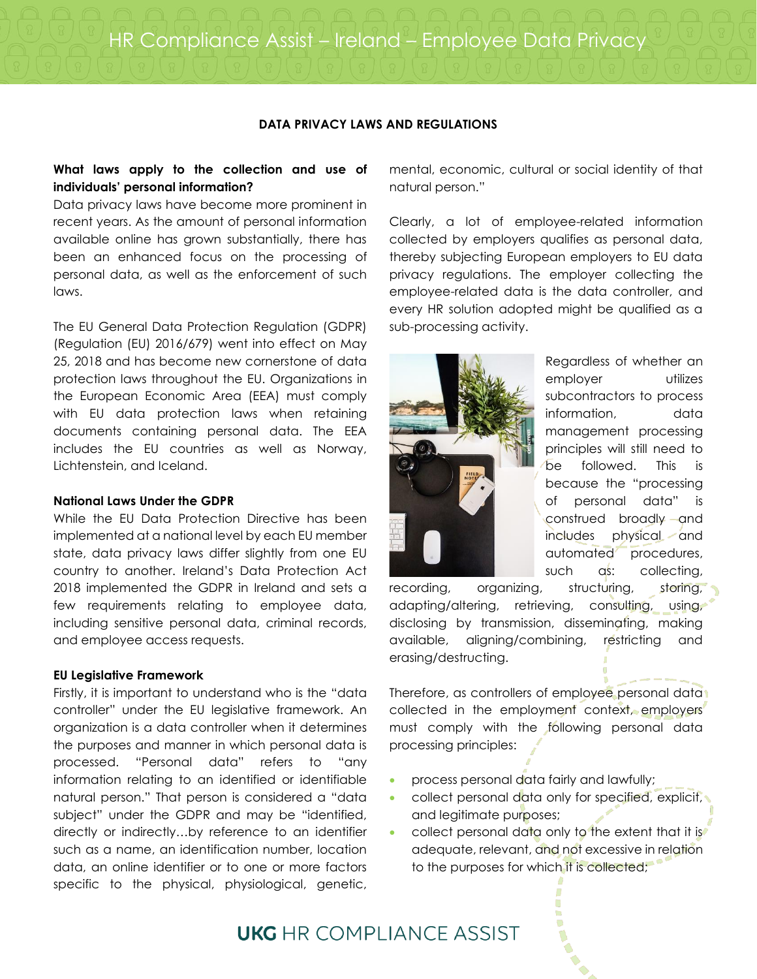HR Compliance Assist – Ireland – Employee Data Privacy

# **DATA PRIVACY LAWS AND REGULATIONS**

# **What laws apply to the collection and use of individuals' personal information?**

Data privacy laws have become more prominent in recent years. As the amount of personal information available online has grown substantially, there has been an enhanced focus on the processing of personal data, as well as the enforcement of such laws.

The EU General Data Protection Regulation (GDPR) (Regulation (EU) 2016/679) went into effect on May 25, 2018 and has become new cornerstone of data protection laws throughout the EU. Organizations in the European Economic Area (EEA) must comply with EU data protection laws when retaining documents containing personal data. The EEA includes the EU countries as well as Norway, Lichtenstein, and Iceland.

# **National Laws Under the GDPR**

While the EU Data Protection Directive has been implemented at a national level by each EU member state, data privacy laws differ slightly from one EU country to another. Ireland's Data Protection Act 2018 implemented the GDPR in Ireland and sets a few requirements relating to employee data, including sensitive personal data, criminal records, and employee access requests.

## **EU Legislative Framework**

Firstly, it is important to understand who is the "data controller" under the EU legislative framework. An organization is a data controller when it determines the purposes and manner in which personal data is processed. "Personal data" refers to "any information relating to an identified or identifiable natural person." That person is considered a "data subject" under the GDPR and may be "identified, directly or indirectly…by reference to an identifier such as a name, an identification number, location data, an online identifier or to one or more factors specific to the physical, physiological, genetic,

mental, economic, cultural or social identity of that natural person."

Clearly, a lot of employee-related information collected by employers qualifies as personal data, thereby subjecting European employers to EU data privacy regulations. The employer collecting the employee-related data is the data controller, and every HR solution adopted might be qualified as a sub-processing activity.



Regardless of whether an employer utilizes subcontractors to process information, data management processing principles will still need to be followed. This is because the "processing of personal data" is construed broadly and includes physical and automated procedures, such as: collecting,

recording, organizing, structuring, storing, adapting/altering, retrieving, consulting, using, disclosing by transmission, disseminating, making available, aligning/combining, restricting and erasing/destructing.

Therefore, as controllers of employee personal data collected in the employment context, employers must comply with the following personal data processing principles:

- process personal data fairly and lawfully;
- collect personal data only for specified, explicit, and legitimate purposes;
- collect personal data only to the extent that it is adequate, relevant, and not excessive in relation to the purposes for which it is collected;

# **UKG** HR COMPI IANCE ASSIST